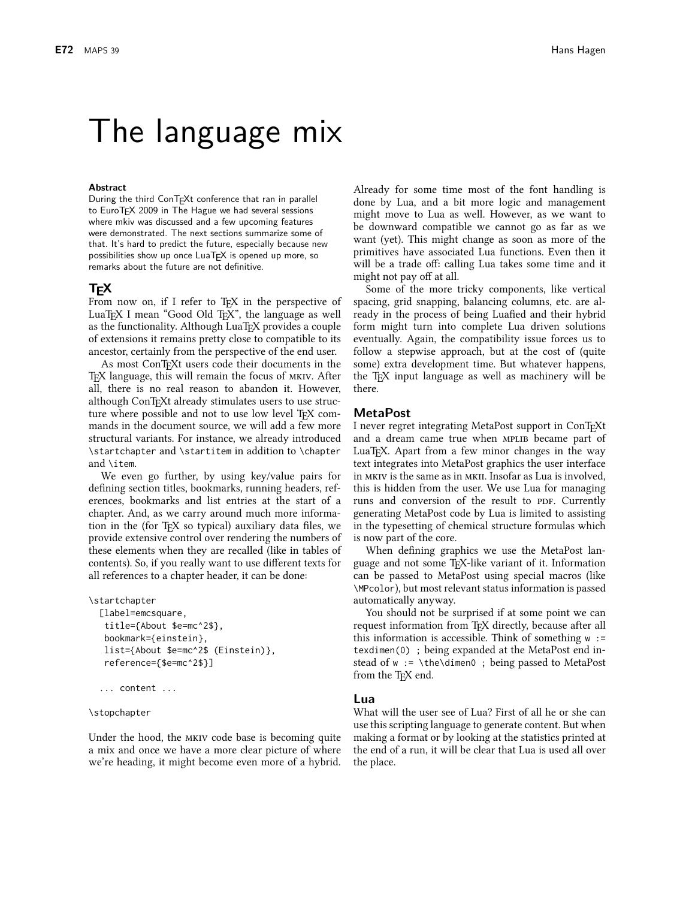# The language mix

#### **Abstract**

During the third ConTEXt conference that ran in parallel to EuroTEX 2009 in The Hague we had several sessions where mkiv was discussed and a few upcoming features were demonstrated. The next sections summarize some of that. It's hard to predict the future, especially because new possibilities show up once LuaTEX is opened up more, so remarks about the future are not definitive.

## TFX

From now on, if I refer to T<sub>F</sub>X in the perspective of LuaT<sub>F</sub>X I mean "Good Old T<sub>F</sub>X", the language as well as the functionality. Although LuaTFX provides a couple of extensions it remains pretty close to compatible to its ancestor, certainly from the perspective of the end user.

As most ConTFXt users code their documents in the Т<sub>F</sub>X language, this will remain the focus of мки. After all, there is no real reason to abandon it. However, although ConT<sub>F</sub>Xt already stimulates users to use structure where possible and not to use low level TFX commands in the document source, we will add a few more structural variants. For instance, we already introduced \startchapter and \startitem in addition to \chapter and  $\iota$  item.

We even go further, by using key/value pairs for defining section titles, bookmarks, running headers, references, bookmarks and list entries at the start of a chapter. And, as we carry around much more information in the (for T<sub>E</sub>X so typical) auxiliary data files, we provide extensive control over rendering the numbers of these elements when they are recalled (like in tables of contents). So, if you really want to use different texts for all references to a chapter header, it can be done:

```
\startchapter
```

```
[label=emcsquare,
 title={About $e=mc^2$},
 bookmark={einstein},
 list={About $e=mc^2$ (Einstein)},
 reference={$e=mc^2$}]
```

```
\ldots content \ldots
```
#### \stopchapter

Under the hood, the MKIV code base is becoming quite a mix and once we have a more clear picture of where we're heading, it might become even more of a hybrid.

Already for some time most of the font handling is done by Lua, and a bit more logic and management might move to Lua as well. However, as we want to be downward compatible we cannot go as far as we want (yet). This might change as soon as more of the primitives have associated Lua functions. Even then it will be a trade off: calling Lua takes some time and it might not pay off at all.

Some of the more tricky components, like vertical spacing, grid snapping, balancing columns, etc. are already in the process of being Luafied and their hybrid form might turn into complete Lua driven solutions eventually. Again, the compatibility issue forces us to follow a stepwise approach, but at the cost of (quite some) extra development time. But whatever happens, the T<sub>F</sub>X input language as well as machinery will be there.

#### **MetaPost**

I never regret integrating MetaPost support in ConTEXt and a dream came true when MPLIB became part of LuaT<sub>F</sub>X. Apart from a few minor changes in the way text integrates into MetaPost graphics the user interface in MKIV is the same as in MKII. Insofar as Lua is involved, this is hidden from the user. We use Lua for managing runs and conversion of the result to PDF. Currently generating MetaPost code by Lua is limited to assisting in the typesetting of chemical structure formulas which is now part of the core.

When defining graphics we use the MetaPost language and not some T<sub>F</sub>X-like variant of it. Information can be passed to MetaPost using special macros (like \MPcolor), but most relevant status information is passed automatically anyway.

You should not be surprised if at some point we can request information from T<sub>F</sub>X directly, because after all this information is accessible. Think of something  $w :=$ texdimen(0); being expanded at the MetaPost end instead of w := \the\dimen0 ; being passed to MetaPost from the T<sub>F</sub>X end.

#### Lua

What will the user see of Lua? First of all he or she can use this scripting language to generate content. But when making a format or by looking at the statistics printed at the end of a run, it will be clear that Lua is used all over the place.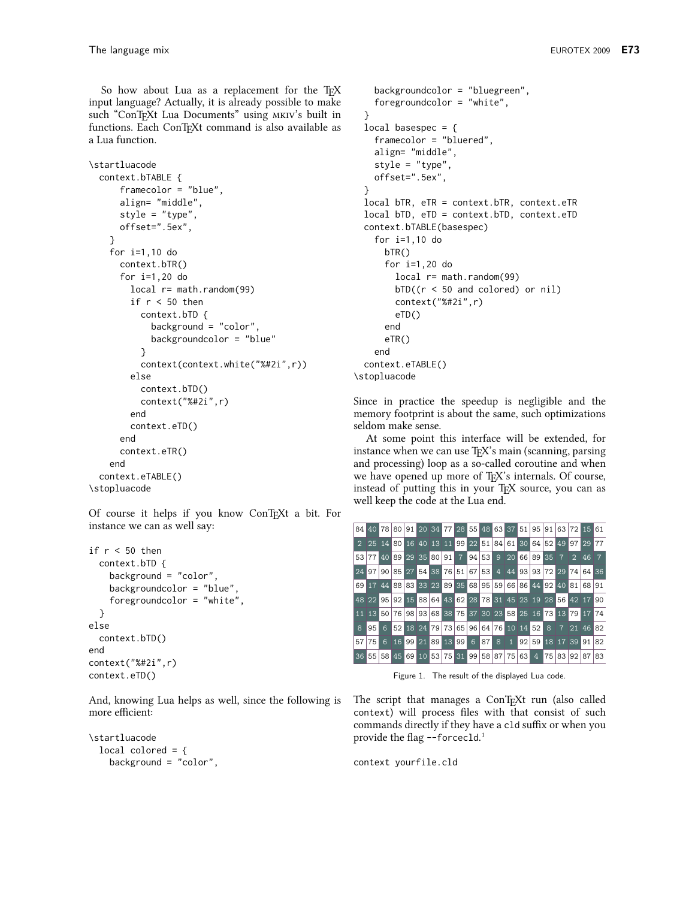So how about Lua as a replacement for the TFX input language? Actually, it is already possible to make such "ConTEXt Lua Documents" using MKIV's built in functions. Each ConTEXt command is also available as a Lua function.

```
\startluacode
  context.bTABLE {
      framecolor = "blue",align= "middle",
      style = "type",offset=".5ex",
    J.
    for i=1,10 do
      context.bTR()
      for i=1,20 do
        local r = math.random(99)if r < 50 then
          context.bTD {
            background = "color".
            backgroundcolor = "blue"
          \mathcal{E}context(context.white("%#2i",r))
        else
          context.bTD()
          context("%#2i",r)
        end
        context.eTD()
      end
      context.eTR()
    end
  context.eTABLE()
\stopluacode
```
Of course it helps if you know ConTEXt a bit. For instance we can as well say:

```
if r < 50 then
  context.bTD {
    background = "color",
    backgroundcolor = "blue".
    foregroundcolor = "white",
  \mathcal{F}else
  context.bTD()
end
context("%#2i",r)
context.eTD()
```
And, knowing Lua helps as well, since the following is more efficient:

```
\startluacode
  local colored = \{background = "color",
```

```
backgroundcolor = "bluegreen",foregroundcolor = "white",<sup>}</sup>
 local basespec = \{framecolor = "bluered".align= "middle",
   style = "type",offset=".5ex",
 ₹
 local bTR, eTR = context.bTR, context.eTR
 local bTD, eTD = context.bTD, context.eTD
 context.bTABLE(basespec)
   for i=1,10 do
     bTR()for i=1,20 do
       local r = math.random(99)bTD((r < 50 and colored) or nil)
        context("%#2i", r)eTD()end
     eTR()end
 context.eTABLE()
\stopluacode
```
Since in practice the speedup is negligible and the memory footprint is about the same, such optimizations seldom make sense.

At some point this interface will be extended, for instance when we can use T<sub>F</sub>X's main (scanning, parsing and processing) loop as a so-called coroutine and when we have opened up more of T<sub>F</sub>X's internals. Of course, instead of putting this in your TEX source, you can as well keep the code at the Lua end.



Figure 1. The result of the displayed Lua code.

The script that manages a ConT<sub>F</sub>Xt run (also called context) will process files with that consist of such commands directly if they have a c1d suffix or when you provide the flag --forcecld.<sup>1</sup>

context yourfile.cld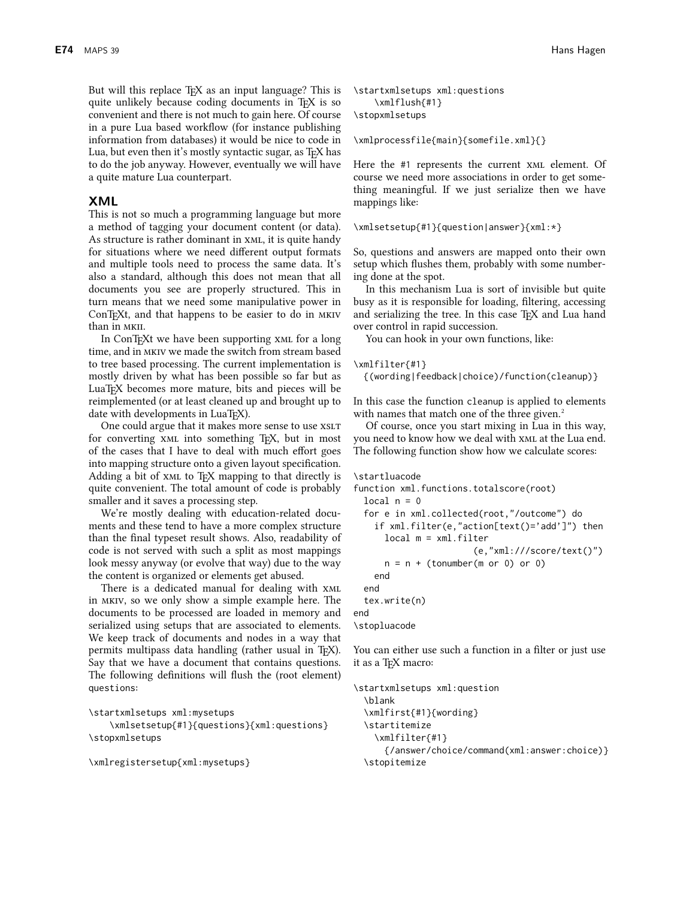But will this replace T<sub>E</sub>X as an input language? This is quite unlikely because coding documents in TEX is so convenient and there is not much to gain here. Of course in a pure Lua based workflow (for instance publishing information from databases) it would be nice to code in Lua, but even then it's mostly syntactic sugar, as T<sub>F</sub>X has to do the job anyway. However, eventually we will have a quite mature Lua counterpart.

## **XML**

This is not so much a programming language but more a method of tagging your document content (or data). As structure is rather dominant in XML, it is quite handy for situations where we need different output formats and multiple tools need to process the same data. It's also a standard, although this does not mean that all documents you see are properly structured. This in turn means that we need some manipulative power in ConT<sub>F</sub>Xt, and that happens to be easier to do in MKIV than in MKII.

In ConT<sub>F</sub>Xt we have been supporting XML for a long time, and in MKIV we made the switch from stream based to tree based processing. The current implementation is mostly driven by what has been possible so far but as LuaT<sub>F</sub>X becomes more mature, bits and pieces will be reimplemented (or at least cleaned up and brought up to date with developments in LuaT<sub>F</sub>X).

One could argue that it makes more sense to use XSLT for converting XML into something TFX, but in most of the cases that I have to deal with much effort goes into mapping structure onto a given layout specification. Adding a bit of XML to T<sub>F</sub>X mapping to that directly is quite convenient. The total amount of code is probably smaller and it saves a processing step.

We're mostly dealing with education-related documents and these tend to have a more complex structure than the final typeset result shows. Also, readability of code is not served with such a split as most mappings look messy anyway (or evolve that way) due to the way the content is organized or elements get abused.

There is a dedicated manual for dealing with XML in MKIV, so we only show a simple example here. The documents to be processed are loaded in memory and serialized using setups that are associated to elements. We keep track of documents and nodes in a way that permits multipass data handling (rather usual in T<sub>F</sub>X). Say that we have a document that contains questions. The following definitions will flush the (root element) questions:

```
\startxmlsetups xml:mysetups
```
\xmlsetsetup{#1}{questions}{xml:questions} \stopxmlsetups

\xmlregistersetup{xml:mysetups}

```
\startxmlsetups xml:questions
    \xmlflush{#1}
\stopxmlsetups
```
\xmlprocessfile{main}{somefile.xml}{}

Here the #1 represents the current XML element. Of course we need more associations in order to get something meaningful. If we just serialize then we have mappings like:

```
\xmlsetsetup{#1}{question|answer}{xml:*}
```
So, questions and answers are mapped onto their own setup which flushes them, probably with some numbering done at the spot.

In this mechanism Lua is sort of invisible but quite busy as it is responsible for loading, filtering, accessing and serializing the tree. In this case T<sub>F</sub>X and Lua hand over control in rapid succession.

You can hook in your own functions, like:

\xmlfilter{#1}

{(wording|feedback|choice)/function(cleanup)}

In this case the function cleanup is applied to elements with names that match one of the three given.<sup>2</sup>

Of course, once you start mixing in Lua in this way, you need to know how we deal with XML at the Lua end. The following function show how we calculate scores:

```
\startluacode
```

```
function xml.functions.totalscore(root)
  local n = 0for e in xml.collected(root,"/outcome") do
    if xml.filter(e,"action[text()='add']") then
      local m = xml.fiter(e, "xml:///score/text())")n = n + (tonumber(m or 0) or 0)end
  end
  tex.write(n)
end
\stopluacode
```
You can either use such a function in a filter or just use it as a T<sub>F</sub>X macro:

```
\startxmlsetups xml:question
  \blank
  \xmlfirst{#1}{wording}
  \startitemize
    \xmlfilter{#1}
      {/answer/choice/command(xml:answer:choice)}
  \stopitemize
```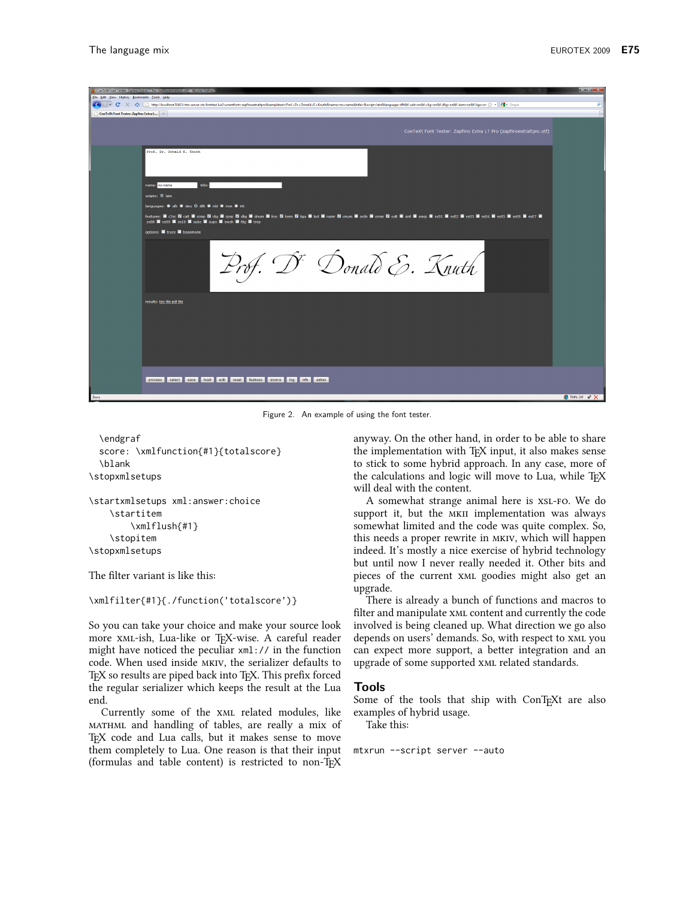

Figure 2. An example of using the font tester.

```
\endgraf
  score: \xmlfunction{#1}{totalscore}
  \blank
\stopxmlsetups
\startxmlsetups xml:answer:choice
    \startitem
        \xmlflush{#1}
```
The filter variant is like this:

\stopitem \stopxmlsetups

#### \xmlfilter{#1}{./function('totalscore')}

So you can take your choice and make your source look more XML-ish, Lua-like or TFX-wise. A careful reader might have noticed the peculiar xml:// in the function code. When used inside MKIV, the serializer defaults to T<sub>F</sub>X so results are piped back into T<sub>F</sub>X. This prefix forced the regular serializer which keeps the result at the Lua end.

Currently some of the XML related modules, like MATHML and handling of tables, are really a mix of TEX code and Lua calls, but it makes sense to move them completely to Lua. One reason is that their input (formulas and table content) is restricted to non-T<sub>E</sub>X anyway. On the other hand, in order to be able to share the implementation with TFX input, it also makes sense to stick to some hybrid approach. In any case, more of the calculations and logic will move to Lua, while TFX will deal with the content.

A somewhat strange animal here is XSL-FO. We do support it, but the MKII implementation was always somewhat limited and the code was quite complex. So, this needs a proper rewrite in MKIV, which will happen indeed. It's mostly a nice exercise of hybrid technology but until now I never really needed it. Other bits and pieces of the current XML goodies might also get an upgrade.

There is already a bunch of functions and macros to filter and manipulate XML content and currently the code involved is being cleaned up. What direction we go also depends on users' demands. So, with respect to XML you can expect more support, a better integration and an upgrade of some supported XML related standards.

## **Tools**

Some of the tools that ship with ConTFXt are also examples of hybrid usage.

Take this:

```
mtxrun --script server --auto
```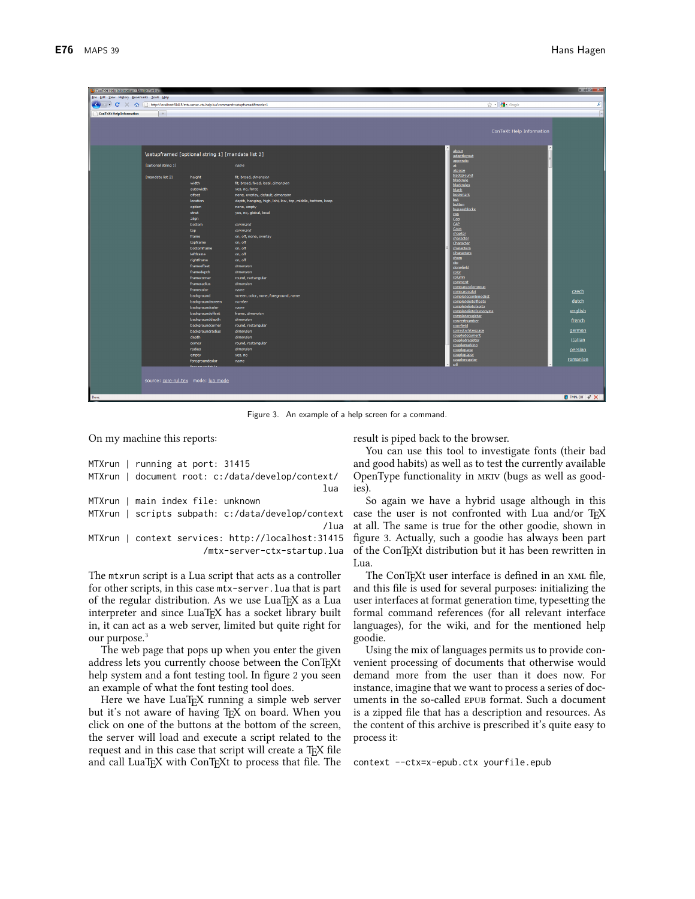| ConTeXt Help Information - Mozilla Firefox  |                                                                              |                                      |                                                            |  |                                                              | كالمراكبيس              |
|---------------------------------------------|------------------------------------------------------------------------------|--------------------------------------|------------------------------------------------------------|--|--------------------------------------------------------------|-------------------------|
| File Edit View History Bookmarks Tools Help |                                                                              |                                      |                                                            |  |                                                              |                         |
|                                             | C X ntp://localhost:31415/mtx-server-ctx-help.lua?command=setupframed&mode=1 |                                      |                                                            |  | $\sqrt{2}$ + $\sqrt{3}$ + Google<br>$\overline{\mathcal{L}}$ |                         |
|                                             |                                                                              |                                      |                                                            |  |                                                              |                         |
| <b>ConTeXt Help Information</b>             | $\sim$                                                                       |                                      |                                                            |  |                                                              |                         |
|                                             |                                                                              |                                      |                                                            |  |                                                              |                         |
|                                             |                                                                              |                                      |                                                            |  | ConTeXt Help Information                                     |                         |
|                                             |                                                                              |                                      |                                                            |  |                                                              |                         |
|                                             |                                                                              |                                      |                                                            |  |                                                              |                         |
|                                             |                                                                              |                                      |                                                            |  |                                                              |                         |
|                                             | \setupframed [optional string 1] [mandate list 2]                            |                                      |                                                            |  | about                                                        |                         |
|                                             |                                                                              |                                      |                                                            |  | adaptlayout<br>appendix                                      |                         |
|                                             | [optional string 1]                                                          |                                      | name                                                       |  | at                                                           |                         |
|                                             |                                                                              |                                      |                                                            |  | atpage                                                       |                         |
|                                             | [mandate list 2]                                                             | height                               | fit, broad, dimension                                      |  | background                                                   |                         |
|                                             |                                                                              | width                                | fit, broad, fixed, local, dimension                        |  | blackrule<br>blackrules                                      |                         |
|                                             |                                                                              | autowidth                            | ves, no, force                                             |  | blank                                                        |                         |
|                                             |                                                                              | offset                               | none, overlay, default, dimension                          |  | bookmark                                                     |                         |
|                                             |                                                                              | location                             | depth, hanging, high, lohi, low, top, middle, bottom, keep |  | but                                                          |                         |
|                                             |                                                                              | option                               | none, empty                                                |  | button<br>bypassblocks                                       |                         |
|                                             |                                                                              | strut                                | yes, no, global, local                                     |  | GBD                                                          |                         |
|                                             |                                                                              | align                                |                                                            |  | Cap                                                          |                         |
|                                             |                                                                              | bottom                               | command                                                    |  | CAP                                                          |                         |
|                                             |                                                                              | top                                  | command                                                    |  | Caps<br>chapter                                              |                         |
|                                             |                                                                              | frame                                | on, off, none, overlay                                     |  | character                                                    |                         |
|                                             |                                                                              | topframe                             | on, off                                                    |  | Character                                                    |                         |
|                                             |                                                                              | bottomframe                          | on, off                                                    |  | characters                                                   |                         |
|                                             |                                                                              | leftframe                            | on, off                                                    |  | Characters<br>then                                           |                         |
|                                             |                                                                              | rightframe                           | on, off                                                    |  | <b>dip</b>                                                   |                         |
|                                             |                                                                              | frameoffset                          | dimension                                                  |  | donefield                                                    |                         |
|                                             |                                                                              | framedepth                           | dimension                                                  |  | color                                                        |                         |
|                                             |                                                                              | framecorner                          | round, rectangular                                         |  | column                                                       |                         |
|                                             |                                                                              | frameradius                          | dimension                                                  |  | comment<br>comparecolorgroup                                 |                         |
|                                             |                                                                              | framecolor                           | name                                                       |  | comparepalet                                                 | czech                   |
|                                             |                                                                              | background                           | screen, color, none, foreground, name                      |  | completecombinedlist                                         |                         |
|                                             |                                                                              | backgroundscreen                     | number                                                     |  | completelistoffloats<br>completelistofsorts                  | dutch                   |
|                                             |                                                                              | backgroundcolor                      | name                                                       |  | completelistofsynonyms                                       | english                 |
|                                             |                                                                              | backgroundoffset                     | frame, dimension                                           |  | completeregister                                             |                         |
|                                             |                                                                              | backgrounddepth                      | dimension                                                  |  | convertnumber                                                | french                  |
|                                             |                                                                              | backgroundcorner<br>backgroundradius | round, rectangular<br>dimension                            |  | copyfield<br>correctwhitespace                               | german                  |
|                                             |                                                                              | depth                                | dimension                                                  |  | coupledocument                                               |                         |
|                                             |                                                                              | comer                                | round, rectangular                                         |  | coupledregister                                              | italian                 |
|                                             |                                                                              | radius                               | dimension                                                  |  | couplemarking                                                |                         |
|                                             |                                                                              | empty                                | yes, no                                                    |  | couplepage<br>couplepaper                                    | persian                 |
|                                             |                                                                              | foregroundcolor                      | name                                                       |  | coupleregister                                               | romanian                |
|                                             |                                                                              |                                      |                                                            |  | odi                                                          |                         |
|                                             |                                                                              |                                      |                                                            |  |                                                              |                         |
|                                             |                                                                              |                                      |                                                            |  |                                                              |                         |
|                                             | source: core-rul.tex mode: lua mode                                          |                                      |                                                            |  |                                                              |                         |
|                                             |                                                                              |                                      |                                                            |  |                                                              |                         |
| Done                                        |                                                                              |                                      |                                                            |  |                                                              | <b>O</b> TMN: Off $*$ X |
|                                             |                                                                              |                                      |                                                            |  |                                                              |                         |

Figure 3. An example of a help screen for a command.

On my machine this reports:

```
MTXrun | running at port: 31415
MTXrun | document root: c:/data/develop/context/
                                             lua
MTXrun | main index file: unknown
MTXrun | scripts subpath: c:/data/develop/context
                                              /lua
MTXrun | context services: http://localhost:31415
                      /mtx-server-ctx-startup.lua
```
The mtxrun script is a Lua script that acts as a controller for other scripts, in this case mtx-server. lua that is part of the regular distribution. As we use LuaTFX as a Lua interpreter and since LuaT<sub>F</sub>X has a socket library built in, it can act as a web server, limited but quite right for our purpose.<sup>3</sup>

The web page that pops up when you enter the given address lets you currently choose between the ConTFXt help system and a font testing tool. In figure 2 you seen an example of what the font testing tool does.

Here we have LuaT<sub>F</sub>X running a simple web server but it's not aware of having T<sub>F</sub>X on board. When you click on one of the buttons at the bottom of the screen, the server will load and execute a script related to the request and in this case that script will create a TFX file and call LuaT<sub>E</sub>X with ConT<sub>E</sub>Xt to process that file. The result is piped back to the browser.

You can use this tool to investigate fonts (their bad and good habits) as well as to test the currently available OpenType functionality in MKIV (bugs as well as goodies).

So again we have a hybrid usage although in this case the user is not confronted with Lua and/or TFX at all. The same is true for the other goodie, shown in figure 3. Actually, such a goodie has always been part of the ConT<sub>F</sub>Xt distribution but it has been rewritten in Lua.

The ConTFXt user interface is defined in an XML file, and this file is used for several purposes: initializing the user interfaces at format generation time, typesetting the formal command references (for all relevant interface languages), for the wiki, and for the mentioned help goodie.

Using the mix of languages permits us to provide convenient processing of documents that otherwise would demand more from the user than it does now. For instance, imagine that we want to process a series of documents in the so-called EPUB format. Such a document is a zipped file that has a description and resources. As the content of this archive is prescribed it's quite easy to process it:

context --ctx=x-epub.ctx yourfile.epub